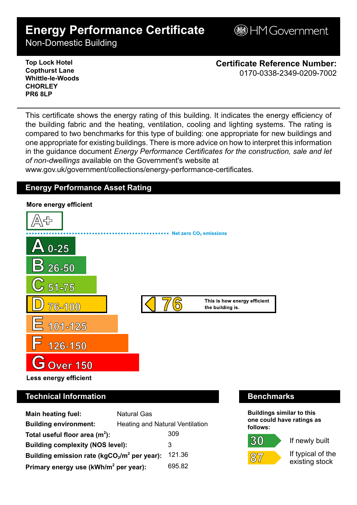# **Energy Performance Certificate**

**B**HM Government

Non-Domestic Building

**Top Lock Hotel Copthurst Lane Whittle-le-Woods CHORLEY PR6 8LP**

**Certificate Reference Number:** 0170-0338-2349-0209-7002

This certificate shows the energy rating of this building. It indicates the energy efficiency of the building fabric and the heating, ventilation, cooling and lighting systems. The rating is compared to two benchmarks for this type of building: one appropriate for new buildings and one appropriate for existing buildings. There is more advice on how to interpret this information in the guidance document *Energy Performance Certificates for the construction, sale and let of non-dwellings* available on the Government's website at

www.gov.uk/government/collections/energy-performance-certificates.

# **Energy Performance Asset Rating**



# **Technical Information Benchmarks**

| <b>Main heating fuel:</b>                                | <b>Natural Gas</b>              |        |
|----------------------------------------------------------|---------------------------------|--------|
| <b>Building environment:</b>                             | Heating and Natural Ventilation |        |
| Total useful floor area $(m2)$ :                         |                                 | 309    |
| <b>Building complexity (NOS level):</b>                  |                                 | 3      |
| 121.36<br>Building emission rate ( $kgCO2/m2$ per year): |                                 |        |
| Primary energy use (kWh/m <sup>2</sup> per year):        |                                 | 695.82 |

**Buildings similar to this one could have ratings as follows:**

30



If newly built

If typical of the existing stock